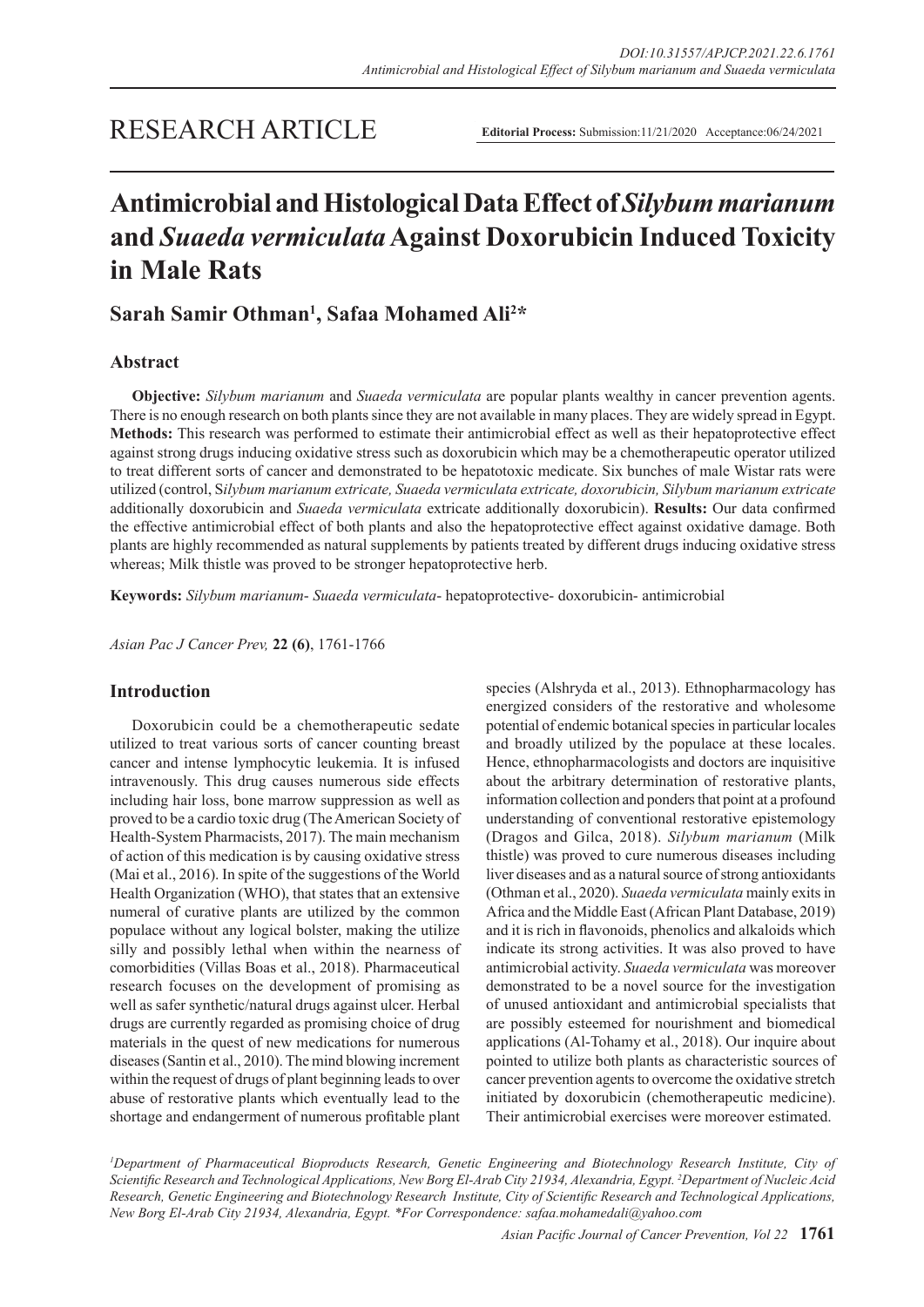## RESEARCH ARTICLE

**Editorial Process:** Submission:11/21/2020 Acceptance:06/24/2021

# **Antimicrobial and Histological Data Effect of** *Silybum marianum* **and** *Suaeda vermiculata* **Against Doxorubicin Induced Toxicity in Male Rats**

## **Sarah Samir Othman1 , Safaa Mohamed Ali2 \***

## **Abstract**

**Objective:** *Silybum marianum* and *Suaeda vermiculata* are popular plants wealthy in cancer prevention agents. There is no enough research on both plants since they are not available in many places. They are widely spread in Egypt. **Methods:** This research was performed to estimate their antimicrobial effect as well as their hepatoprotective effect against strong drugs inducing oxidative stress such as doxorubicin which may be a chemotherapeutic operator utilized to treat different sorts of cancer and demonstrated to be hepatotoxic medicate. Six bunches of male Wistar rats were utilized (control, S*ilybum marianum extricate, Suaeda vermiculata extricate, doxorubicin, Silybum marianum extricate* additionally doxorubicin and *Suaeda vermiculata* extricate additionally doxorubicin). **Results:** Our data confirmed the effective antimicrobial effect of both plants and also the hepatoprotective effect against oxidative damage. Both plants are highly recommended as natural supplements by patients treated by different drugs inducing oxidative stress whereas; Milk thistle was proved to be stronger hepatoprotective herb.

**Keywords:** *Silybum marianum*- *Suaeda vermiculata*- hepatoprotective- doxorubicin- antimicrobial

*Asian Pac J Cancer Prev,* **22 (6)**, 1761-1766

## **Introduction**

Doxorubicin could be a chemotherapeutic sedate utilized to treat various sorts of cancer counting breast cancer and intense lymphocytic leukemia. It is infused intravenously. This drug causes numerous side effects including hair loss, bone marrow suppression as well as proved to be a cardio toxic drug (The American Society of Health-System Pharmacists, 2017). The main mechanism of action of this medication is by causing oxidative stress (Mai et al., 2016). In spite of the suggestions of the World Health Organization (WHO), that states that an extensive numeral of curative plants are utilized by the common populace without any logical bolster, making the utilize silly and possibly lethal when within the nearness of comorbidities (Villas Boas et al., 2018). Pharmaceutical research focuses on the development of promising as well as safer synthetic/natural drugs against ulcer. Herbal drugs are currently regarded as promising choice of drug materials in the quest of new medications for numerous diseases (Santin et al., 2010). The mind blowing increment within the request of drugs of plant beginning leads to over abuse of restorative plants which eventually lead to the shortage and endangerment of numerous profitable plant

species (Alshryda et al., 2013). Ethnopharmacology has energized considers of the restorative and wholesome potential of endemic botanical species in particular locales and broadly utilized by the populace at these locales. Hence, ethnopharmacologists and doctors are inquisitive about the arbitrary determination of restorative plants, information collection and ponders that point at a profound understanding of conventional restorative epistemology (Dragos and Gilca, 2018). *Silybum marianum* (Milk thistle) was proved to cure numerous diseases including liver diseases and as a natural source of strong antioxidants (Othman et al., 2020). *Suaeda vermiculata* mainly exits in Africa and the Middle East (African Plant Database, 2019) and it is rich in flavonoids, phenolics and alkaloids which indicate its strong activities. It was also proved to have antimicrobial activity. *Suaeda vermiculata* was moreover demonstrated to be a novel source for the investigation of unused antioxidant and antimicrobial specialists that are possibly esteemed for nourishment and biomedical applications (Al-Tohamy et al., 2018). Our inquire about pointed to utilize both plants as characteristic sources of cancer prevention agents to overcome the oxidative stretch initiated by doxorubicin (chemotherapeutic medicine). Their antimicrobial exercises were moreover estimated.

*1 Department of Pharmaceutical Bioproducts Research, Genetic Engineering and Biotechnology Research Institute, City of Scientific Research and Technological Applications, New Borg El-Arab City 21934, Alexandria, Egypt. 2 Department of Nucleic Acid Research, Genetic Engineering and Biotechnology Research Institute, City of Scientific Research and Technological Applications, New Borg El-Arab City 21934, Alexandria, Egypt. \*For Correspondence: safaa.mohamedali@yahoo.com*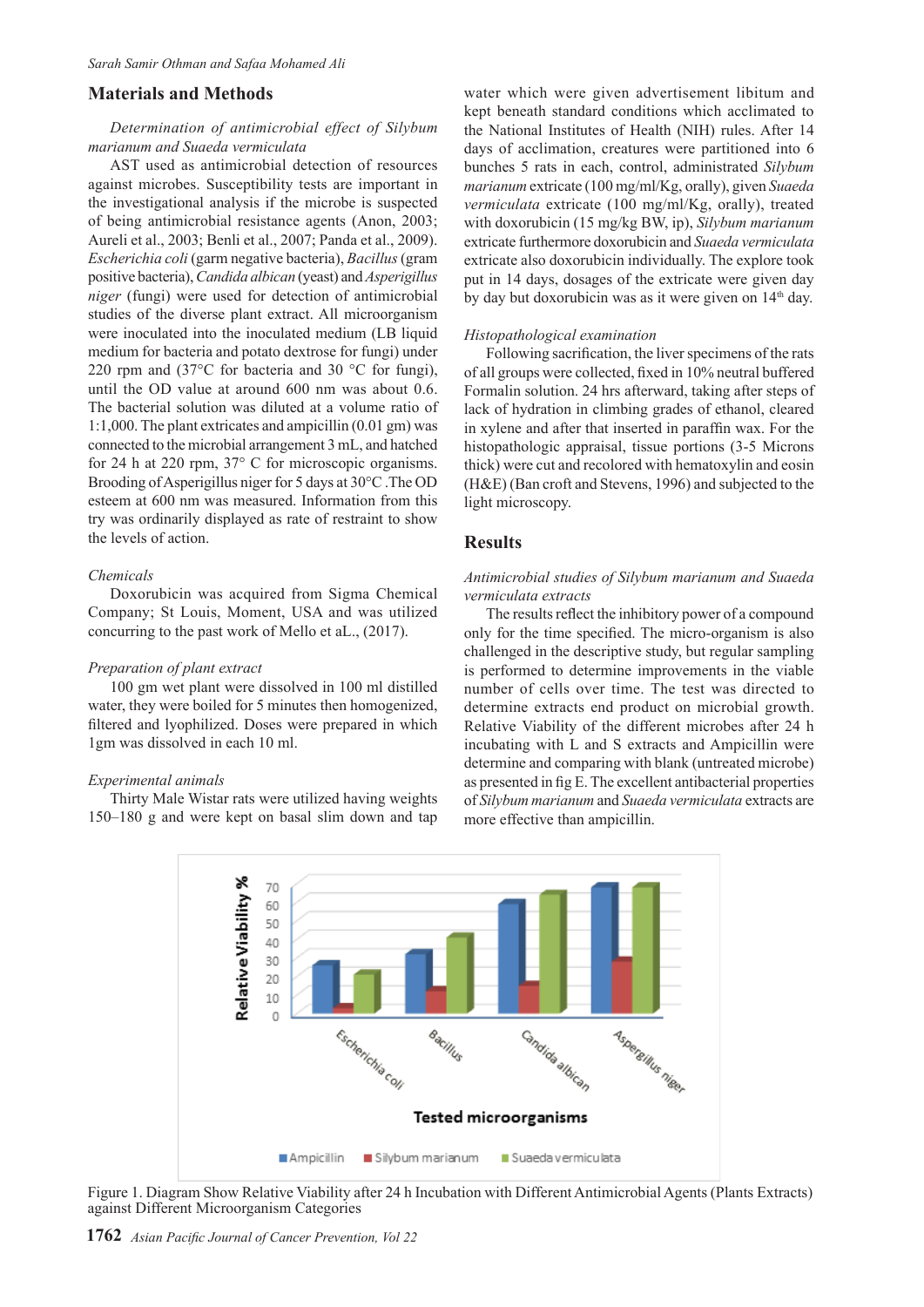## **Materials and Methods**

## *Determination of antimicrobial effect of Silybum marianum and Suaeda vermiculata*

AST used as antimicrobial detection of resources against microbes. Susceptibility tests are important in the investigational analysis if the microbe is suspected of being antimicrobial resistance agents (Anon, 2003; Aureli et al., 2003; Benli et al., 2007; Panda et al., 2009). *Escherichia coli* (garm negative bacteria), *Bacillus* (gram positive bacteria), *Candida albican* (yeast) and *Asperigillus niger* (fungi) were used for detection of antimicrobial studies of the diverse plant extract. All microorganism were inoculated into the inoculated medium (LB liquid medium for bacteria and potato dextrose for fungi) under 220 rpm and (37°C for bacteria and 30 °C for fungi), until the OD value at around 600 nm was about 0.6. The bacterial solution was diluted at a volume ratio of 1:1,000. The plant extricates and ampicillin (0.01 gm) was connected to the microbial arrangement 3 mL, and hatched for 24 h at 220 rpm, 37° C for microscopic organisms. Brooding of Asperigillus niger for 5 days at 30°C .The OD esteem at 600 nm was measured. Information from this try was ordinarily displayed as rate of restraint to show the levels of action.

## *Chemicals*

Doxorubicin was acquired from Sigma Chemical Company; St Louis, Moment, USA and was utilized concurring to the past work of Mello et aL., (2017).

#### *Preparation of plant extract*

100 gm wet plant were dissolved in 100 ml distilled water, they were boiled for 5 minutes then homogenized, filtered and lyophilized. Doses were prepared in which 1gm was dissolved in each 10 ml.

#### *Experimental animals*

Thirty Male Wistar rats were utilized having weights 150–180 g and were kept on basal slim down and tap water which were given advertisement libitum and kept beneath standard conditions which acclimated to the National Institutes of Health (NIH) rules. After 14 days of acclimation, creatures were partitioned into 6 bunches 5 rats in each, control, administrated *Silybum marianum* extricate (100 mg/ml/Kg, orally), given *Suaeda vermiculata* extricate (100 mg/ml/Kg, orally), treated with doxorubicin (15 mg/kg BW, ip), *Silybum marianum* extricate furthermore doxorubicin and *Suaeda vermiculata* extricate also doxorubicin individually. The explore took put in 14 days, dosages of the extricate were given day by day but doxorubicin was as it were given on 14<sup>th</sup> day.

#### *Histopathological examination*

Following sacrification, the liver specimens of the rats of all groups were collected, fixed in 10% neutral buffered Formalin solution. 24 hrs afterward, taking after steps of lack of hydration in climbing grades of ethanol, cleared in xylene and after that inserted in paraffin wax. For the histopathologic appraisal, tissue portions (3-5 Microns thick) were cut and recolored with hematoxylin and eosin (H&E) (Ban croft and Stevens, 1996) and subjected to the light microscopy.

## **Results**

## *Antimicrobial studies of Silybum marianum and Suaeda vermiculata extracts*

The results reflect the inhibitory power of a compound only for the time specified. The micro-organism is also challenged in the descriptive study, but regular sampling is performed to determine improvements in the viable number of cells over time. The test was directed to determine extracts end product on microbial growth. Relative Viability of the different microbes after 24 h incubating with L and S extracts and Ampicillin were determine and comparing with blank (untreated microbe) as presented in fig E. The excellent antibacterial properties of *Silybum marianum* and *Suaeda vermiculata* extracts are more effective than ampicillin.



Figure 1. Diagram Show Relative Viability after 24 h Incubation with Different Antimicrobial Agents (Plants Extracts) against Different Microorganism Categories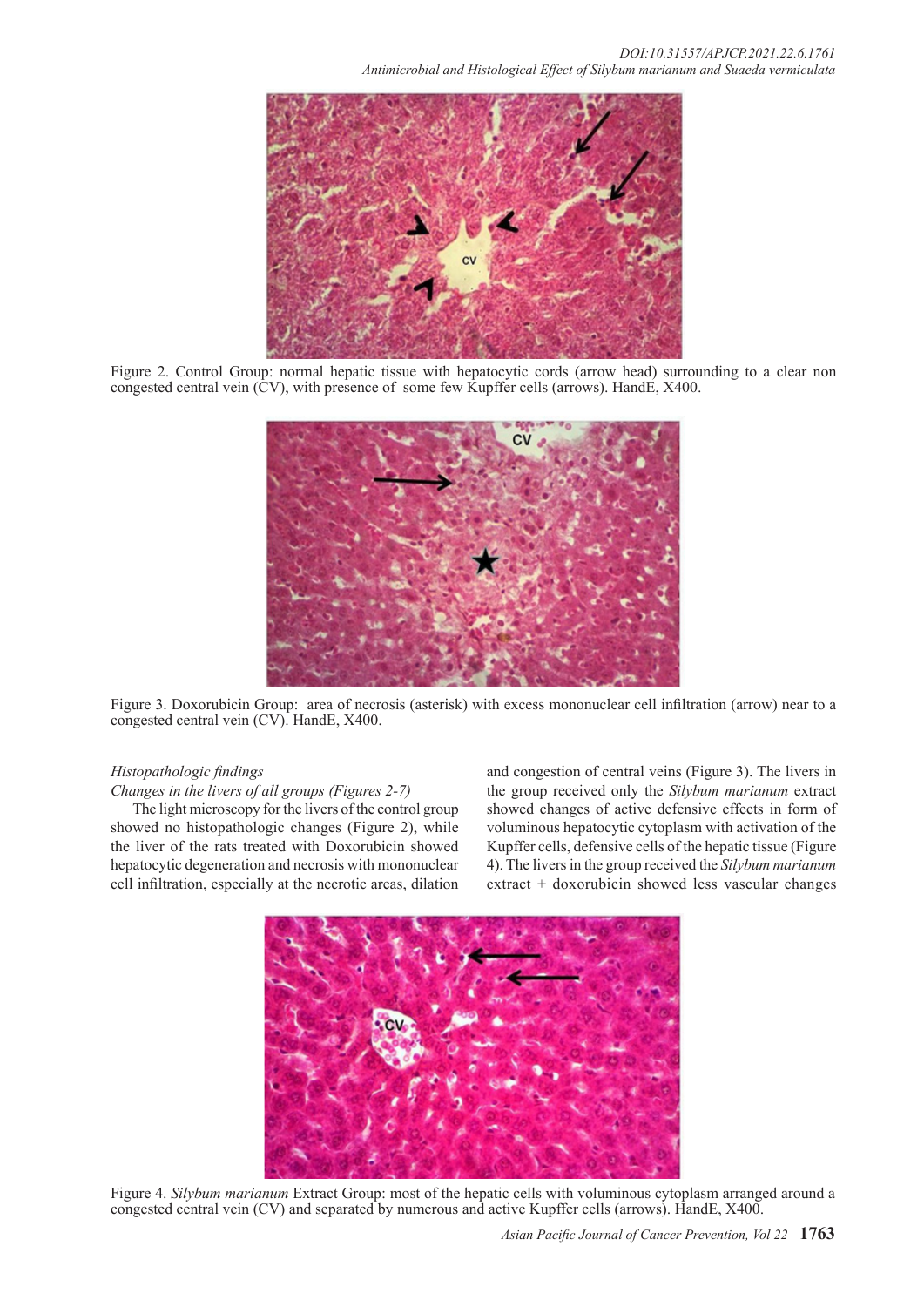

Figure 2. Control Group: normal hepatic tissue with hepatocytic cords (arrow head) surrounding to a clear non congested central vein (CV), with presence of some few Kupffer cells (arrows). HandE, X400.



Figure 3. Doxorubicin Group: area of necrosis (asterisk) with excess mononuclear cell infiltration (arrow) near to a congested central vein (CV). HandE, X400.

## *Histopathologic findings*

*Changes in the livers of all groups (Figures 2-7)*

The light microscopy for the livers of the control group showed no histopathologic changes (Figure 2), while the liver of the rats treated with Doxorubicin showed hepatocytic degeneration and necrosis with mononuclear cell infiltration, especially at the necrotic areas, dilation

and congestion of central veins (Figure 3). The livers in the group received only the *Silybum marianum* extract showed changes of active defensive effects in form of voluminous hepatocytic cytoplasm with activation of the Kupffer cells, defensive cells of the hepatic tissue (Figure 4). The livers in the group received the *Silybum marianum* extract + doxorubicin showed less vascular changes



Figure 4. *Silybum marianum* Extract Group: most of the hepatic cells with voluminous cytoplasm arranged around a congested central vein (CV) and separated by numerous and active Kupffer cells (arrows). HandE, X400.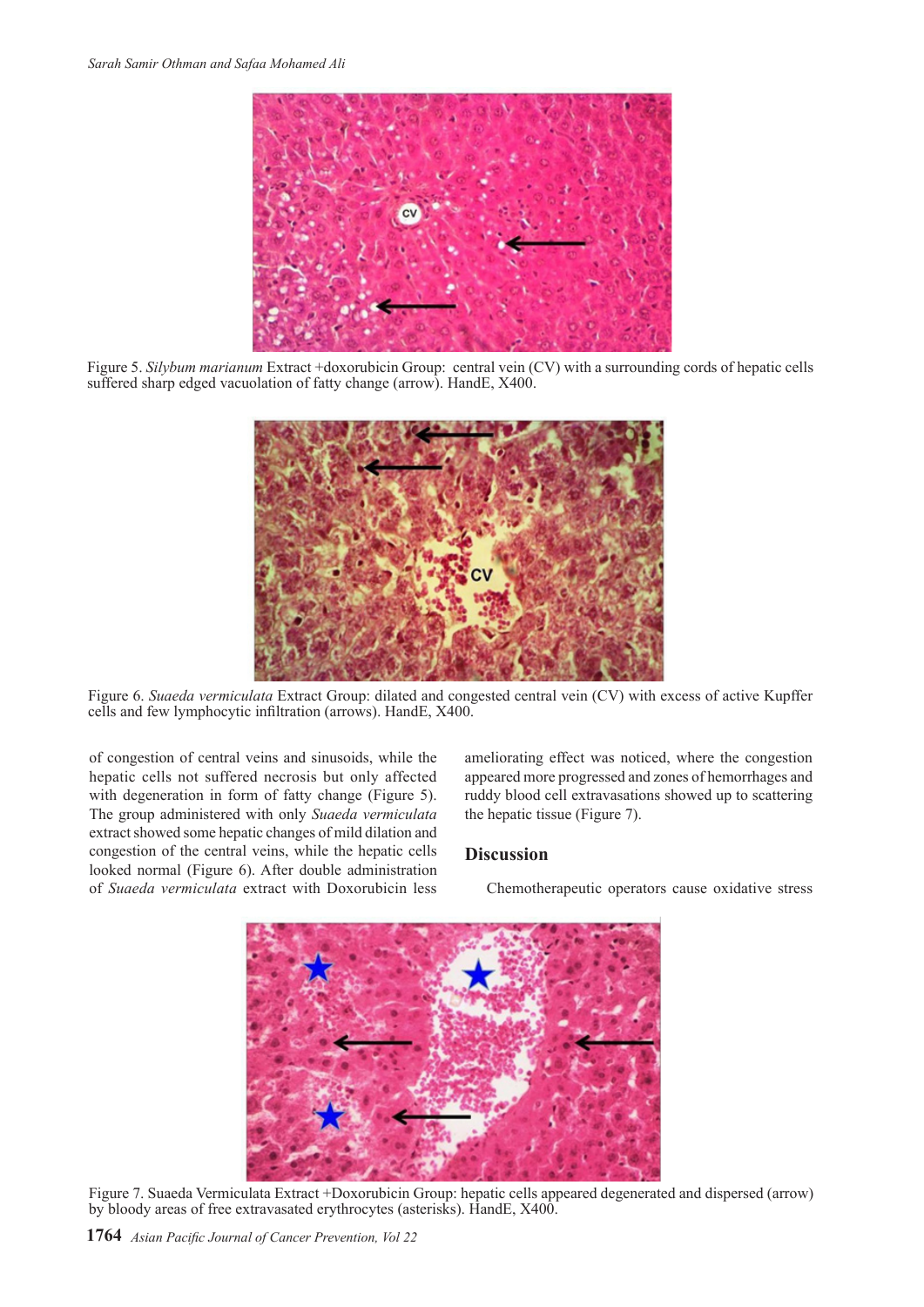

Figure 5. *Silybum marianum* Extract +doxorubicin Group: central vein (CV) with a surrounding cords of hepatic cells suffered sharp edged vacuolation of fatty change (arrow). HandE, X400.



Figure 6. *Suaeda vermiculata* Extract Group: dilated and congested central vein (CV) with excess of active Kupffer cells and few lymphocytic infiltration (arrows). HandE, X400.

of congestion of central veins and sinusoids, while the hepatic cells not suffered necrosis but only affected with degeneration in form of fatty change (Figure 5). The group administered with only *Suaeda vermiculata* extract showed some hepatic changes of mild dilation and congestion of the central veins, while the hepatic cells looked normal (Figure 6). After double administration of *Suaeda vermiculata* extract with Doxorubicin less

ameliorating effect was noticed, where the congestion appeared more progressed and zones of hemorrhages and ruddy blood cell extravasations showed up to scattering the hepatic tissue (Figure 7).

## **Discussion**

Chemotherapeutic operators cause oxidative stress



Figure 7. Suaeda Vermiculata Extract +Doxorubicin Group: hepatic cells appeared degenerated and dispersed (arrow) by bloody areas of free extravasated erythrocytes (asterisks). HandE, X400.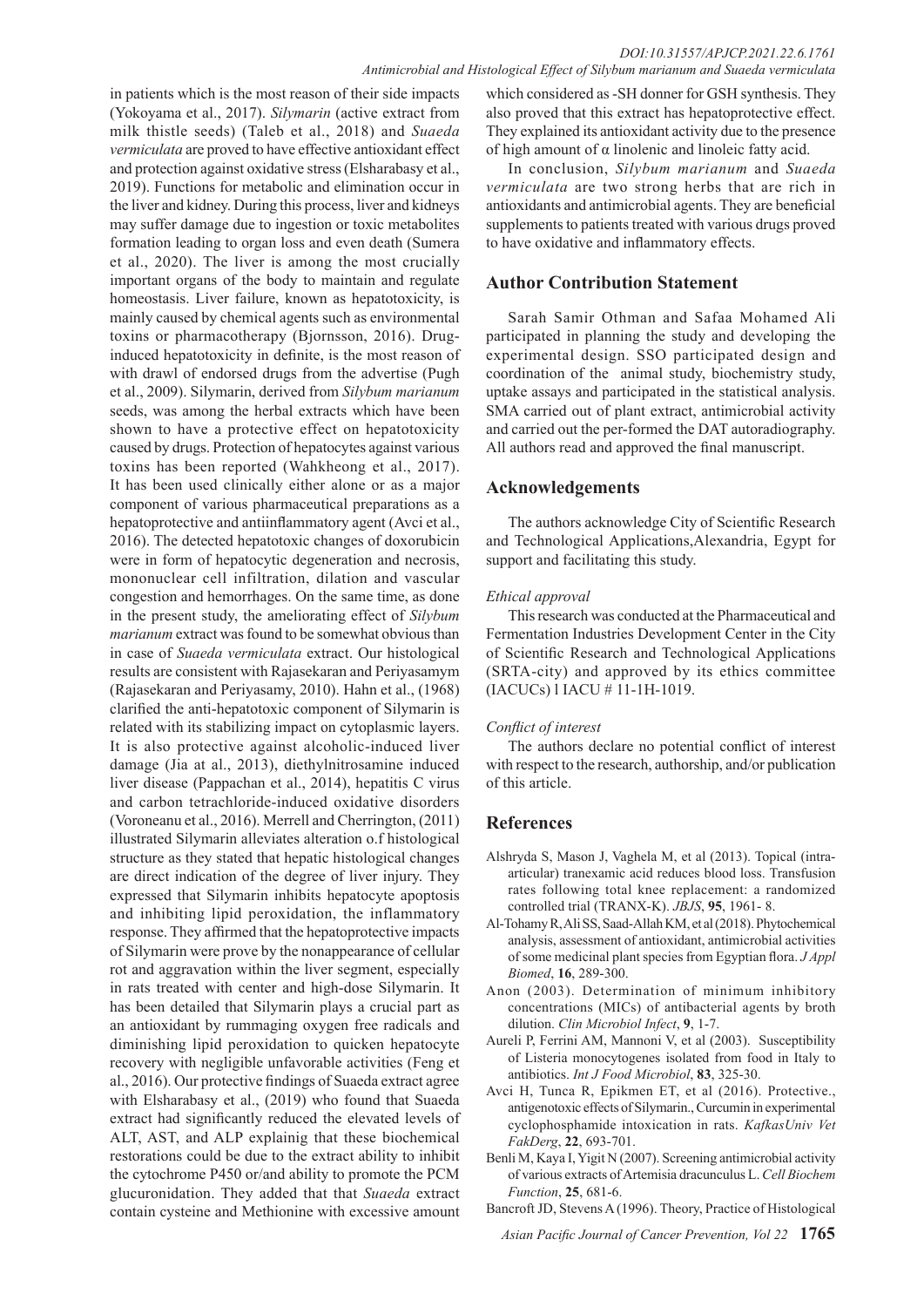in patients which is the most reason of their side impacts (Yokoyama et al., 2017). *Silymarin* (active extract from milk thistle seeds) (Taleb et al., 2018) and *Suaeda vermiculata* are proved to have effective antioxidant effect and protection against oxidative stress (Elsharabasy et al., 2019). Functions for metabolic and elimination occur in the liver and kidney. During this process, liver and kidneys may suffer damage due to ingestion or toxic metabolites formation leading to organ loss and even death (Sumera et al., 2020). The liver is among the most crucially important organs of the body to maintain and regulate homeostasis. Liver failure, known as hepatotoxicity, is mainly caused by chemical agents such as environmental toxins or pharmacotherapy (Bjornsson, 2016). Druginduced hepatotoxicity in definite, is the most reason of with drawl of endorsed drugs from the advertise (Pugh et al., 2009). Silymarin, derived from *Silybum marianum* seeds, was among the herbal extracts which have been shown to have a protective effect on hepatotoxicity caused by drugs. Protection of hepatocytes against various toxins has been reported (Wahkheong et al., 2017). It has been used clinically either alone or as a major component of various pharmaceutical preparations as a hepatoprotective and antiinflammatory agent (Avci et al., 2016). The detected hepatotoxic changes of doxorubicin were in form of hepatocytic degeneration and necrosis, mononuclear cell infiltration, dilation and vascular congestion and hemorrhages. On the same time, as done in the present study, the ameliorating effect of *Silybum marianum* extract was found to be somewhat obvious than in case of *Suaeda vermiculata* extract. Our histological results are consistent with Rajasekaran and Periyasamym (Rajasekaran and Periyasamy, 2010). Hahn et al., (1968) clarified the anti-hepatotoxic component of Silymarin is related with its stabilizing impact on cytoplasmic layers. It is also protective against alcoholic-induced liver damage (Jia at al., 2013), diethylnitrosamine induced liver disease (Pappachan et al., 2014), hepatitis C virus and carbon tetrachloride-induced oxidative disorders (Voroneanu et al., 2016). Merrell and Cherrington, (2011) illustrated Silymarin alleviates alteration o.f histological structure as they stated that hepatic histological changes are direct indication of the degree of liver injury. They expressed that Silymarin inhibits hepatocyte apoptosis and inhibiting lipid peroxidation, the inflammatory response. They affirmed that the hepatoprotective impacts of Silymarin were prove by the nonappearance of cellular rot and aggravation within the liver segment, especially in rats treated with center and high-dose Silymarin. It has been detailed that Silymarin plays a crucial part as an antioxidant by rummaging oxygen free radicals and diminishing lipid peroxidation to quicken hepatocyte recovery with negligible unfavorable activities (Feng et al., 2016). Our protective findings of Suaeda extract agree with Elsharabasy et al., (2019) who found that Suaeda extract had significantly reduced the elevated levels of ALT, AST, and ALP explainig that these biochemical restorations could be due to the extract ability to inhibit the cytochrome P450 or/and ability to promote the PCM glucuronidation. They added that that *Suaeda* extract contain cysteine and Methionine with excessive amount

which considered as -SH donner for GSH synthesis. They also proved that this extract has hepatoprotective effect. They explained its antioxidant activity due to the presence of high amount of α linolenic and linoleic fatty acid.

In conclusion, *Silybum marianum* and *Suaeda vermiculata* are two strong herbs that are rich in antioxidants and antimicrobial agents. They are beneficial supplements to patients treated with various drugs proved to have oxidative and inflammatory effects.

## **Author Contribution Statement**

Sarah Samir Othman and Safaa Mohamed Ali participated in planning the study and developing the experimental design. SSO participated design and coordination of the animal study, biochemistry study, uptake assays and participated in the statistical analysis. SMA carried out of plant extract, antimicrobial activity and carried out the per-formed the DAT autoradiography. All authors read and approved the final manuscript.

## **Acknowledgements**

The authors acknowledge City of Scientific Research and Technological Applications,Alexandria, Egypt for support and facilitating this study.

## *Ethical approval*

This research was conducted at the Pharmaceutical and Fermentation Industries Development Center in the City of Scientific Research and Technological Applications (SRTA-city) and approved by its ethics committee (IACUCs) l IACU # 11-1H-1019.

## *Conflict of interest*

The authors declare no potential conflict of interest with respect to the research, authorship, and/or publication of this article.

## **References**

- Alshryda S, Mason J, Vaghela M, et al (2013). Topical (intraarticular) tranexamic acid reduces blood loss. Transfusion rates following total knee replacement: a randomized controlled trial (TRANX-K). *JBJS*, **95**, 1961- 8.
- Al-Tohamy R, Ali SS, Saad-Allah KM, et al (2018). Phytochemical analysis, assessment of antioxidant, antimicrobial activities of some medicinal plant species from Egyptian flora. *J Appl Biomed*, **16**, 289-300.
- Anon (2003). Determination of minimum inhibitory concentrations (MICs) of antibacterial agents by broth dilution. *Clin Microbiol Infect*, **9**, 1-7.
- Aureli P, Ferrini AM, Mannoni V, et al (2003). Susceptibility of Listeria monocytogenes isolated from food in Italy to antibiotics. *Int J Food Microbiol*, **83**, 325-30.
- Avci H, Tunca R, Epikmen ET, et al (2016). Protective., antigenotoxic effects of Silymarin., Curcumin in experimental cyclophosphamide intoxication in rats. *KafkasUniv Vet FakDerg*, **22**, 693-701.
- Benli M, Kaya I, Yigit N (2007). Screening antimicrobial activity of various extracts of Artemisia dracunculus L. *Cell Biochem Function*, **25**, 681-6.
- Bancroft JD, Stevens A (1996). Theory, Practice of Histological

*Asian Pacific Journal of Cancer Prevention, Vol 22* **1765**